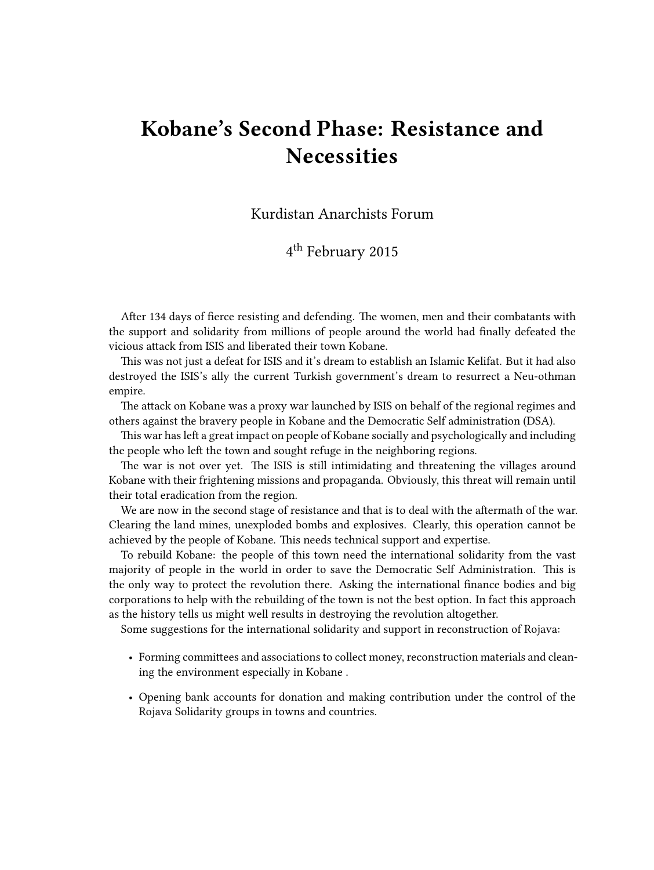## **Kobane's Second Phase: Resistance and Necessities**

Kurdistan Anarchists Forum

4 th February 2015

After 134 days of fierce resisting and defending. The women, men and their combatants with the support and solidarity from millions of people around the world had finally defeated the vicious attack from ISIS and liberated their town Kobane.

This was not just a defeat for ISIS and it's dream to establish an Islamic Kelifat. But it had also destroyed the ISIS's ally the current Turkish government's dream to resurrect a Neu-othman empire.

The attack on Kobane was a proxy war launched by ISIS on behalf of the regional regimes and others against the bravery people in Kobane and the Democratic Self administration (DSA).

This war has left a great impact on people of Kobane socially and psychologically and including the people who left the town and sought refuge in the neighboring regions.

The war is not over yet. The ISIS is still intimidating and threatening the villages around Kobane with their frightening missions and propaganda. Obviously, this threat will remain until their total eradication from the region.

We are now in the second stage of resistance and that is to deal with the aftermath of the war. Clearing the land mines, unexploded bombs and explosives. Clearly, this operation cannot be achieved by the people of Kobane. This needs technical support and expertise.

To rebuild Kobane: the people of this town need the international solidarity from the vast majority of people in the world in order to save the Democratic Self Administration. This is the only way to protect the revolution there. Asking the international finance bodies and big corporations to help with the rebuilding of the town is not the best option. In fact this approach as the history tells us might well results in destroying the revolution altogether.

Some suggestions for the international solidarity and support in reconstruction of Rojava:

- Forming committees and associations to collect money, reconstruction materials and cleaning the environment especially in Kobane .
- Opening bank accounts for donation and making contribution under the control of the Rojava Solidarity groups in towns and countries.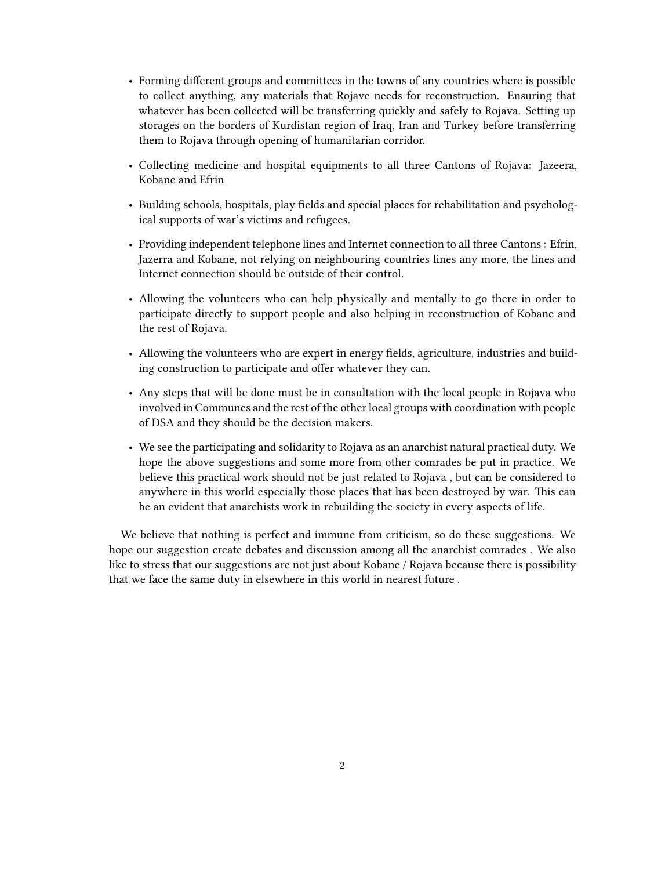- Forming different groups and committees in the towns of any countries where is possible to collect anything, any materials that Rojave needs for reconstruction. Ensuring that whatever has been collected will be transferring quickly and safely to Rojava. Setting up storages on the borders of Kurdistan region of Iraq, Iran and Turkey before transferring them to Rojava through opening of humanitarian corridor.
- Collecting medicine and hospital equipments to all three Cantons of Rojava: Jazeera, Kobane and Efrin
- Building schools, hospitals, play fields and special places for rehabilitation and psychological supports of war's victims and refugees.
- Providing independent telephone lines and Internet connection to all three Cantons : Efrin, Jazerra and Kobane, not relying on neighbouring countries lines any more, the lines and Internet connection should be outside of their control.
- Allowing the volunteers who can help physically and mentally to go there in order to participate directly to support people and also helping in reconstruction of Kobane and the rest of Rojava.
- Allowing the volunteers who are expert in energy fields, agriculture, industries and building construction to participate and offer whatever they can.
- Any steps that will be done must be in consultation with the local people in Rojava who involved in Communes and the rest of the other local groups with coordination with people of DSA and they should be the decision makers.
- We see the participating and solidarity to Rojava as an anarchist natural practical duty. We hope the above suggestions and some more from other comrades be put in practice. We believe this practical work should not be just related to Rojava , but can be considered to anywhere in this world especially those places that has been destroyed by war. This can be an evident that anarchists work in rebuilding the society in every aspects of life.

We believe that nothing is perfect and immune from criticism, so do these suggestions. We hope our suggestion create debates and discussion among all the anarchist comrades . We also like to stress that our suggestions are not just about Kobane / Rojava because there is possibility that we face the same duty in elsewhere in this world in nearest future .